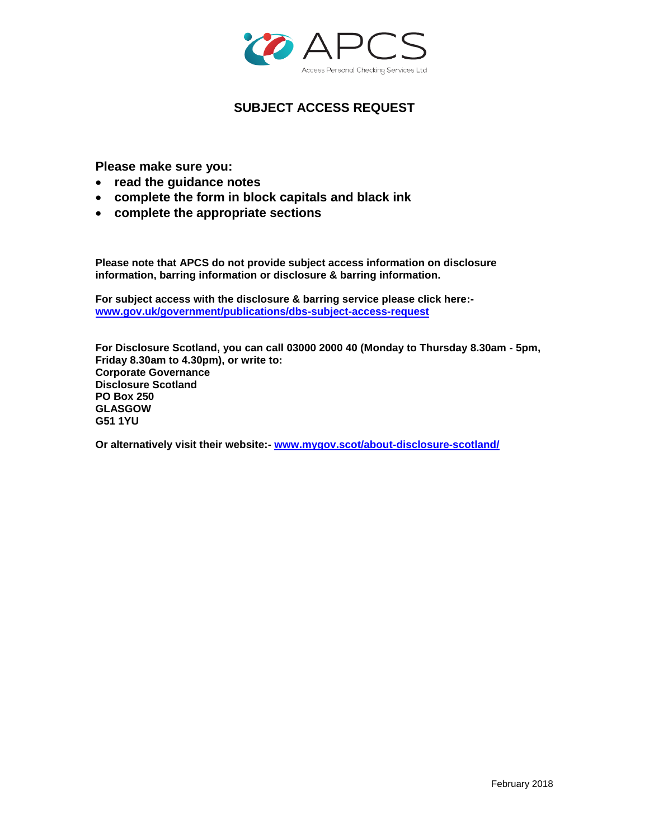

# **SUBJECT ACCESS REQUEST**

**Please make sure you:**

- **read the guidance notes**
- **complete the form in block capitals and black ink**
- **complete the appropriate sections**

**Please note that APCS do not provide subject access information on disclosure information, barring information or disclosure & barring information.** 

**For subject access with the disclosure & barring service please click here: [www.gov.uk/government/publications/dbs-subject-access-request](http://www.gov.uk/government/publications/dbs-subject-access-request)**

**For Disclosure Scotland, you can call 03000 2000 40 (Monday to Thursday 8.30am - 5pm, Friday 8.30am to 4.30pm), or write to: Corporate Governance Disclosure Scotland PO Box 250 GLASGOW G51 1YU**

**Or alternatively visit their website:- [www.mygov.scot/about-disclosure-scotland/](http://www.mygov.scot/about-disclosure-scotland/)**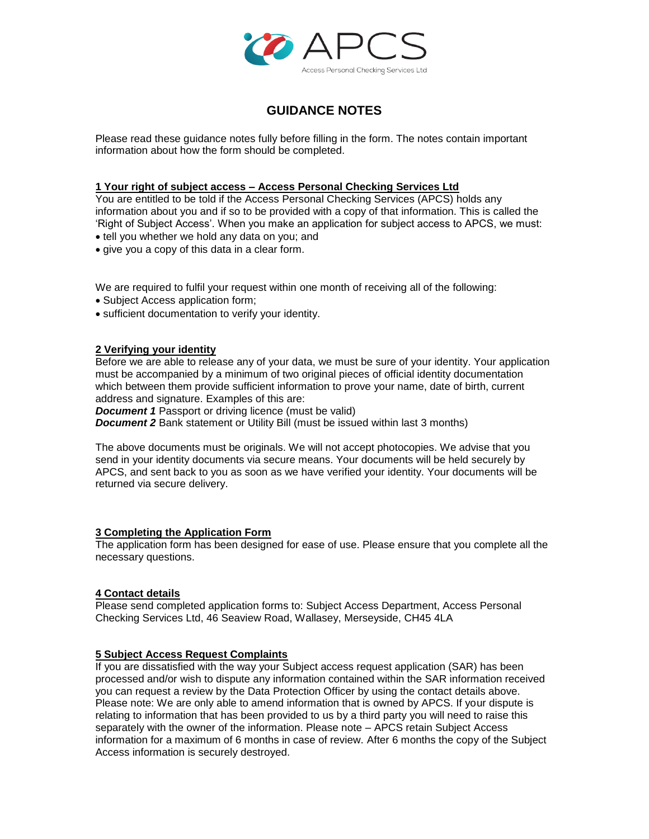

# **GUIDANCE NOTES**

Please read these guidance notes fully before filling in the form. The notes contain important information about how the form should be completed.

### **1 Your right of subject access – Access Personal Checking Services Ltd**

You are entitled to be told if the Access Personal Checking Services (APCS) holds any information about you and if so to be provided with a copy of that information. This is called the 'Right of Subject Access'. When you make an application for subject access to APCS, we must:

- tell you whether we hold any data on you; and
- give you a copy of this data in a clear form.

We are required to fulfil your request within one month of receiving all of the following:

- Subject Access application form;
- sufficient documentation to verify your identity.

### **2 Verifying your identity**

Before we are able to release any of your data, we must be sure of your identity. Your application must be accompanied by a minimum of two original pieces of official identity documentation which between them provide sufficient information to prove your name, date of birth, current address and signature. Examples of this are:

*Document 1* Passport or driving licence (must be valid)

**Document 2** Bank statement or Utility Bill (must be issued within last 3 months)

The above documents must be originals. We will not accept photocopies. We advise that you send in your identity documents via secure means. Your documents will be held securely by APCS, and sent back to you as soon as we have verified your identity. Your documents will be returned via secure delivery.

### **3 Completing the Application Form**

The application form has been designed for ease of use. Please ensure that you complete all the necessary questions.

### **4 Contact details**

Please send completed application forms to: Subject Access Department, Access Personal Checking Services Ltd, 46 Seaview Road, Wallasey, Merseyside, CH45 4LA

### **5 Subject Access Request Complaints**

If you are dissatisfied with the way your Subject access request application (SAR) has been processed and/or wish to dispute any information contained within the SAR information received you can request a review by the Data Protection Officer by using the contact details above. Please note: We are only able to amend information that is owned by APCS. If your dispute is relating to information that has been provided to us by a third party you will need to raise this separately with the owner of the information. Please note – APCS retain Subject Access information for a maximum of 6 months in case of review. After 6 months the copy of the Subject Access information is securely destroyed.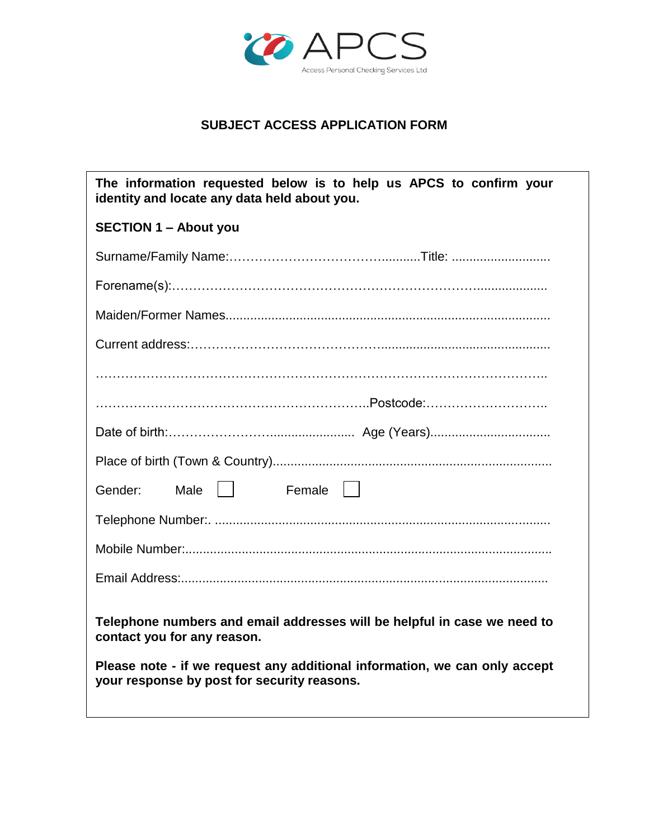

# **SUBJECT ACCESS APPLICATION FORM**

| The information requested below is to help us APCS to confirm your<br>identity and locate any data held about you.        |
|---------------------------------------------------------------------------------------------------------------------------|
| <b>SECTION 1 - About you</b>                                                                                              |
|                                                                                                                           |
|                                                                                                                           |
|                                                                                                                           |
|                                                                                                                           |
|                                                                                                                           |
|                                                                                                                           |
|                                                                                                                           |
|                                                                                                                           |
| Male     Female    <br>Gender:                                                                                            |
|                                                                                                                           |
|                                                                                                                           |
|                                                                                                                           |
| Telephone numbers and email addresses will be helpful in case we need to<br>contact you for any reason.                   |
| Please note - if we request any additional information, we can only accept<br>your response by post for security reasons. |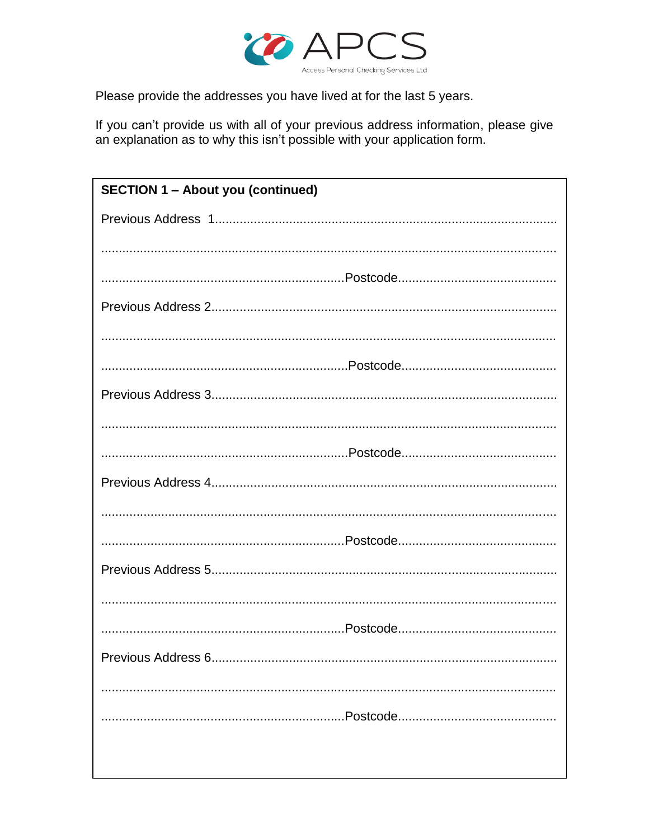

Please provide the addresses you have lived at for the last 5 years.

If you can't provide us with all of your previous address information, please give an explanation as to why this isn't possible with your application form.

| <b>SECTION 1 - About you (continued)</b> |
|------------------------------------------|
|                                          |
|                                          |
|                                          |
|                                          |
|                                          |
|                                          |
|                                          |
|                                          |
|                                          |
|                                          |
|                                          |
|                                          |
|                                          |
|                                          |
|                                          |
|                                          |
|                                          |
|                                          |
|                                          |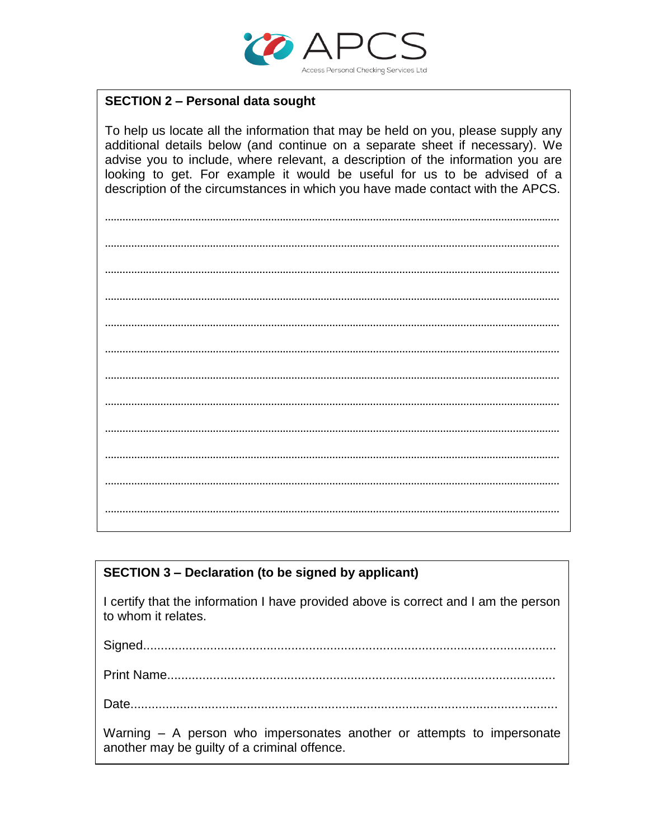

## **SECTION 2 - Personal data sought**

To help us locate all the information that may be held on you, please supply any additional details below (and continue on a separate sheet if necessary). We advise you to include, where relevant, a description of the information you are looking to get. For example it would be useful for us to be advised of a description of the circumstances in which you have made contact with the APCS.

# **SECTION 3 - Declaration (to be signed by applicant)**

I certify that the information I have provided above is correct and I am the person to whom it relates.

Warning - A person who impersonates another or attempts to impersonate another may be guilty of a criminal offence.